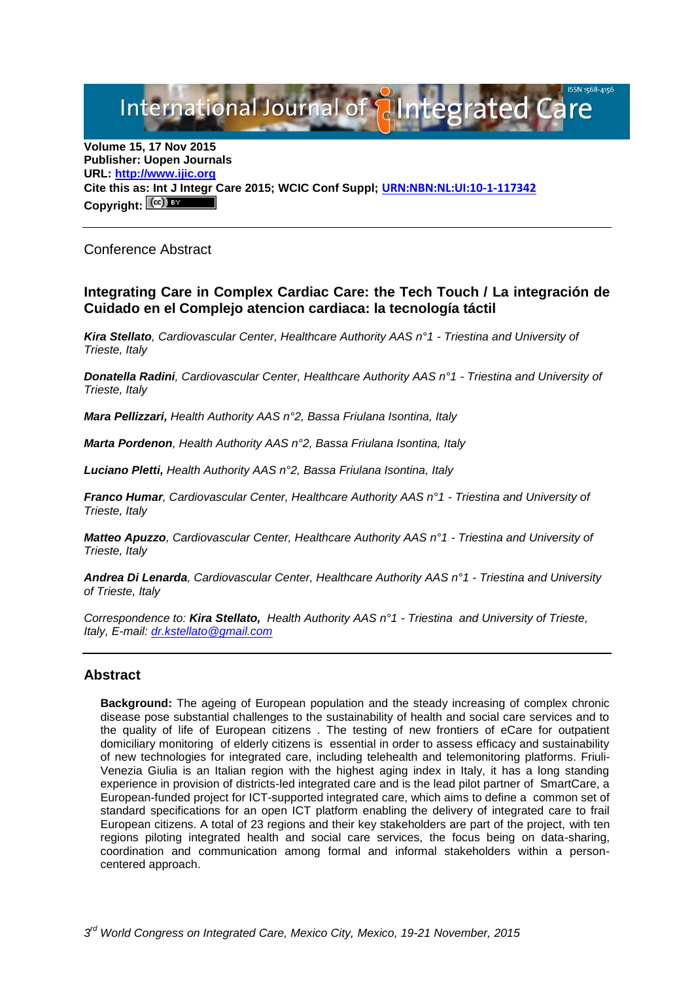# International Journal of **Plantegrated Ca**

**Volume 15, 17 Nov 2015 Publisher: Uopen Journals URL: [http://www.ijic.org](http://www.ijic.org/) Cite this as: Int J Integr Care 2015; WCIC Conf Suppl; [URN:NBN:NL:UI:10-1-117342](http://persistent-identifier.nl/?identifier=URN:NBN:NL:UI:10-1-117342) Copyright:**

## Conference Abstract

# **Integrating Care in Complex Cardiac Care: the Tech Touch / La integración de Cuidado en el Complejo atencion cardiaca: la tecnología táctil**

*Kira Stellato, Cardiovascular Center, Healthcare Authority AAS n°1 - Triestina and University of Trieste, Italy*

*Donatella Radini, Cardiovascular Center, Healthcare Authority AAS n°1 - Triestina and University of Trieste, Italy*

*Mara Pellizzari, Health Authority AAS n°2, Bassa Friulana Isontina, Italy*

*Marta Pordenon, Health Authority AAS n°2, Bassa Friulana Isontina, Italy*

*Luciano Pletti, Health Authority AAS n°2, Bassa Friulana Isontina, Italy*

*Franco Humar, Cardiovascular Center, Healthcare Authority AAS n°1 - Triestina and University of Trieste, Italy*

*Matteo Apuzzo, Cardiovascular Center, Healthcare Authority AAS n°1 - Triestina and University of Trieste, Italy*

*Andrea Di Lenarda, Cardiovascular Center, Healthcare Authority AAS n°1 - Triestina and University of Trieste, Italy*

*Correspondence to: Kira Stellato, Health Authority AAS n°1 - Triestina and University of Trieste, Italy, E-mail: [dr.kstellato@gmail.com](mailto:dr.kstellato@gmail.com)*

#### **Abstract**

**Background:** The ageing of European population and the steady increasing of complex chronic disease pose substantial challenges to the sustainability of health and social care services and to the quality of life of European citizens . The testing of new frontiers of eCare for outpatient domiciliary monitoring of elderly citizens is essential in order to assess efficacy and sustainability of new technologies for integrated care, including telehealth and telemonitoring platforms. Friuli-Venezia Giulia is an Italian region with the highest aging index in Italy, it has a long standing experience in provision of districts-led integrated care and is the lead pilot partner of SmartCare, a European-funded project for ICT-supported integrated care, which aims to define a common set of standard specifications for an open ICT platform enabling the delivery of integrated care to frail European citizens. A total of 23 regions and their key stakeholders are part of the project, with ten regions piloting integrated health and social care services, the focus being on data-sharing, coordination and communication among formal and informal stakeholders within a personcentered approach.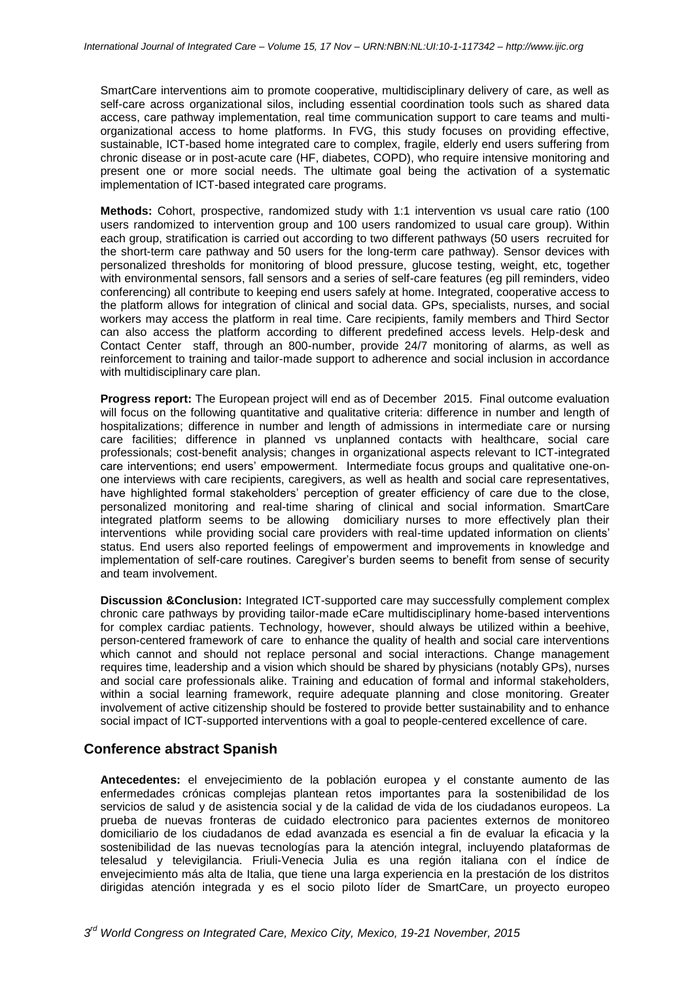SmartCare interventions aim to promote cooperative, multidisciplinary delivery of care, as well as self-care across organizational silos, including essential coordination tools such as shared data access, care pathway implementation, real time communication support to care teams and multiorganizational access to home platforms. In FVG, this study focuses on providing effective, sustainable, ICT-based home integrated care to complex, fragile, elderly end users suffering from chronic disease or in post-acute care (HF, diabetes, COPD), who require intensive monitoring and present one or more social needs. The ultimate goal being the activation of a systematic implementation of ICT-based integrated care programs.

**Methods:** Cohort, prospective, randomized study with 1:1 intervention vs usual care ratio (100 users randomized to intervention group and 100 users randomized to usual care group). Within each group, stratification is carried out according to two different pathways (50 users recruited for the short-term care pathway and 50 users for the long-term care pathway). Sensor devices with personalized thresholds for monitoring of blood pressure, glucose testing, weight, etc, together with environmental sensors, fall sensors and a series of self-care features (eg pill reminders, video conferencing) all contribute to keeping end users safely at home. Integrated, cooperative access to the platform allows for integration of clinical and social data. GPs, specialists, nurses, and social workers may access the platform in real time. Care recipients, family members and Third Sector can also access the platform according to different predefined access levels. Help-desk and Contact Center staff, through an 800-number, provide 24/7 monitoring of alarms, as well as reinforcement to training and tailor-made support to adherence and social inclusion in accordance with multidisciplinary care plan.

**Progress report:** The European project will end as of December 2015. Final outcome evaluation will focus on the following quantitative and qualitative criteria: difference in number and length of hospitalizations; difference in number and length of admissions in intermediate care or nursing care facilities; difference in planned vs unplanned contacts with healthcare, social care professionals; cost-benefit analysis; changes in organizational aspects relevant to ICT-integrated care interventions; end users' empowerment. Intermediate focus groups and qualitative one-onone interviews with care recipients, caregivers, as well as health and social care representatives, have highlighted formal stakeholders' perception of greater efficiency of care due to the close, personalized monitoring and real-time sharing of clinical and social information. SmartCare integrated platform seems to be allowing domiciliary nurses to more effectively plan their interventions while providing social care providers with real-time updated information on clients' status. End users also reported feelings of empowerment and improvements in knowledge and implementation of self-care routines. Caregiver's burden seems to benefit from sense of security and team involvement.

**Discussion &Conclusion:** Integrated ICT-supported care may successfully complement complex chronic care pathways by providing tailor-made eCare multidisciplinary home-based interventions for complex cardiac patients. Technology, however, should always be utilized within a beehive, person-centered framework of care to enhance the quality of health and social care interventions which cannot and should not replace personal and social interactions. Change management requires time, leadership and a vision which should be shared by physicians (notably GPs), nurses and social care professionals alike. Training and education of formal and informal stakeholders, within a social learning framework, require adequate planning and close monitoring. Greater involvement of active citizenship should be fostered to provide better sustainability and to enhance social impact of ICT-supported interventions with a goal to people-centered excellence of care.

# **Conference abstract Spanish**

**Antecedentes:** el envejecimiento de la población europea y el constante aumento de las enfermedades crónicas complejas plantean retos importantes para la sostenibilidad de los servicios de salud y de asistencia social y de la calidad de vida de los ciudadanos europeos. La prueba de nuevas fronteras de cuidado electronico para pacientes externos de monitoreo domiciliario de los ciudadanos de edad avanzada es esencial a fin de evaluar la eficacia y la sostenibilidad de las nuevas tecnologías para la atención integral, incluyendo plataformas de telesalud y televigilancia. Friuli-Venecia Julia es una región italiana con el índice de envejecimiento más alta de Italia, que tiene una larga experiencia en la prestación de los distritos dirigidas atención integrada y es el socio piloto líder de SmartCare, un proyecto europeo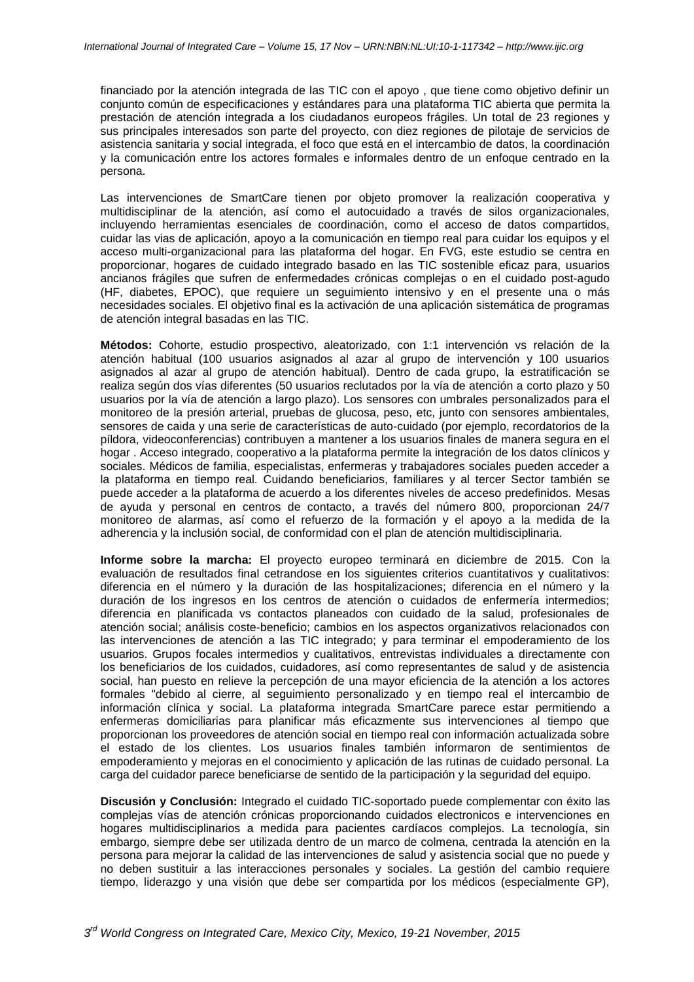financiado por la atención integrada de las TIC con el apoyo , que tiene como objetivo definir un conjunto común de especificaciones y estándares para una plataforma TIC abierta que permita la prestación de atención integrada a los ciudadanos europeos frágiles. Un total de 23 regiones y sus principales interesados son parte del proyecto, con diez regiones de pilotaje de servicios de asistencia sanitaria y social integrada, el foco que está en el intercambio de datos, la coordinación y la comunicación entre los actores formales e informales dentro de un enfoque centrado en la persona.

Las intervenciones de SmartCare tienen por objeto promover la realización cooperativa y multidisciplinar de la atención, así como el autocuidado a través de silos organizacionales, incluyendo herramientas esenciales de coordinación, como el acceso de datos compartidos, cuidar las vias de aplicación, apoyo a la comunicación en tiempo real para cuidar los equipos y el acceso multi-organizacional para las plataforma del hogar. En FVG, este estudio se centra en proporcionar, hogares de cuidado integrado basado en las TIC sostenible eficaz para, usuarios ancianos frágiles que sufren de enfermedades crónicas complejas o en el cuidado post-agudo (HF, diabetes, EPOC), que requiere un seguimiento intensivo y en el presente una o más necesidades sociales. El objetivo final es la activación de una aplicación sistemática de programas de atención integral basadas en las TIC.

**Métodos:** Cohorte, estudio prospectivo, aleatorizado, con 1:1 intervención vs relación de la atención habitual (100 usuarios asignados al azar al grupo de intervención y 100 usuarios asignados al azar al grupo de atención habitual). Dentro de cada grupo, la estratificación se realiza según dos vías diferentes (50 usuarios reclutados por la vía de atención a corto plazo y 50 usuarios por la vía de atención a largo plazo). Los sensores con umbrales personalizados para el monitoreo de la presión arterial, pruebas de glucosa, peso, etc, junto con sensores ambientales, sensores de caida y una serie de características de auto-cuidado (por ejemplo, recordatorios de la píldora, videoconferencias) contribuyen a mantener a los usuarios finales de manera segura en el hogar . Acceso integrado, cooperativo a la plataforma permite la integración de los datos clínicos y sociales. Médicos de familia, especialistas, enfermeras y trabajadores sociales pueden acceder a la plataforma en tiempo real. Cuidando beneficiarios, familiares y al tercer Sector también se puede acceder a la plataforma de acuerdo a los diferentes niveles de acceso predefinidos. Mesas de ayuda y personal en centros de contacto, a través del número 800, proporcionan 24/7 monitoreo de alarmas, así como el refuerzo de la formación y el apoyo a la medida de la adherencia y la inclusión social, de conformidad con el plan de atención multidisciplinaria.

**Informe sobre la marcha:** El proyecto europeo terminará en diciembre de 2015. Con la evaluación de resultados final cetrandose en los siguientes criterios cuantitativos y cualitativos: diferencia en el número y la duración de las hospitalizaciones; diferencia en el número y la duración de los ingresos en los centros de atención o cuidados de enfermería intermedios; diferencia en planificada vs contactos planeados con cuidado de la salud, profesionales de atención social; análisis coste-beneficio; cambios en los aspectos organizativos relacionados con las intervenciones de atención a las TIC integrado; y para terminar el empoderamiento de los usuarios. Grupos focales intermedios y cualitativos, entrevistas individuales a directamente con los beneficiarios de los cuidados, cuidadores, así como representantes de salud y de asistencia social, han puesto en relieve la percepción de una mayor eficiencia de la atención a los actores formales "debido al cierre, al seguimiento personalizado y en tiempo real el intercambio de información clínica y social. La plataforma integrada SmartCare parece estar permitiendo a enfermeras domiciliarias para planificar más eficazmente sus intervenciones al tiempo que proporcionan los proveedores de atención social en tiempo real con información actualizada sobre el estado de los clientes. Los usuarios finales también informaron de sentimientos de empoderamiento y mejoras en el conocimiento y aplicación de las rutinas de cuidado personal. La carga del cuidador parece beneficiarse de sentido de la participación y la seguridad del equipo.

**Discusión y Conclusión:** Integrado el cuidado TIC-soportado puede complementar con éxito las complejas vías de atención crónicas proporcionando cuidados electronicos e intervenciones en hogares multidisciplinarios a medida para pacientes cardíacos complejos. La tecnología, sin embargo, siempre debe ser utilizada dentro de un marco de colmena, centrada la atención en la persona para mejorar la calidad de las intervenciones de salud y asistencia social que no puede y no deben sustituir a las interacciones personales y sociales. La gestión del cambio requiere tiempo, liderazgo y una visión que debe ser compartida por los médicos (especialmente GP),